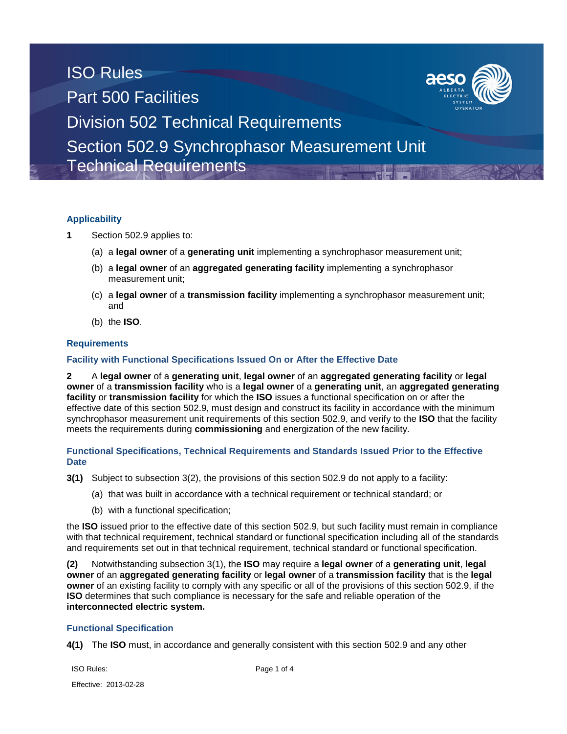## ISO Rules Part 500 Facilities Division 502 Technical Requirements Section 502.9 Synchrophasor Measurement Unit Technical Requirements

### **Applicability**

- **1** Section 502.9 applies to:
	- (a) a **legal owner** of a **generating unit** implementing a synchrophasor measurement unit;
	- (b) a **legal owner** of an **aggregated generating facility** implementing a synchrophasor measurement unit;
	- (c) a **legal owner** of a **transmission facility** implementing a synchrophasor measurement unit; and
	- (b) the **ISO**.

#### **Requirements**

#### **Facility with Functional Specifications Issued On or After the Effective Date**

**2** A **legal owner** of a **generating unit**, **legal owner** of an **aggregated generating facility** or **legal owner** of a **transmission facility** who is a **legal owner** of a **generating unit**, an **aggregated generating facility** or **transmission facility** for which the **ISO** issues a functional specification on or after the effective date of this section 502.9, must design and construct its facility in accordance with the minimum synchrophasor measurement unit requirements of this section 502.9, and verify to the **ISO** that the facility meets the requirements during **commissioning** and energization of the new facility.

#### **Functional Specifications, Technical Requirements and Standards Issued Prior to the Effective Date**

- **3(1)** Subject to subsection 3(2), the provisions of this section 502.9 do not apply to a facility:
	- (a) that was built in accordance with a technical requirement or technical standard; or
	- (b) with a functional specification;

the **ISO** issued prior to the effective date of this section 502.9, but such facility must remain in compliance with that technical requirement, technical standard or functional specification including all of the standards and requirements set out in that technical requirement, technical standard or functional specification.

**(2)** Notwithstanding subsection 3(1), the **ISO** may require a **legal owner** of a **generating unit**, **legal owner** of an **aggregated generating facility** or **legal owner** of a **transmission facility** that is the **legal owner** of an existing facility to comply with any specific or all of the provisions of this section 502.9, if the **ISO** determines that such compliance is necessary for the safe and reliable operation of the **interconnected electric system.** 

#### **Functional Specification**

**4(1)** The **ISO** must, in accordance and generally consistent with this section 502.9 and any other

ISO Rules: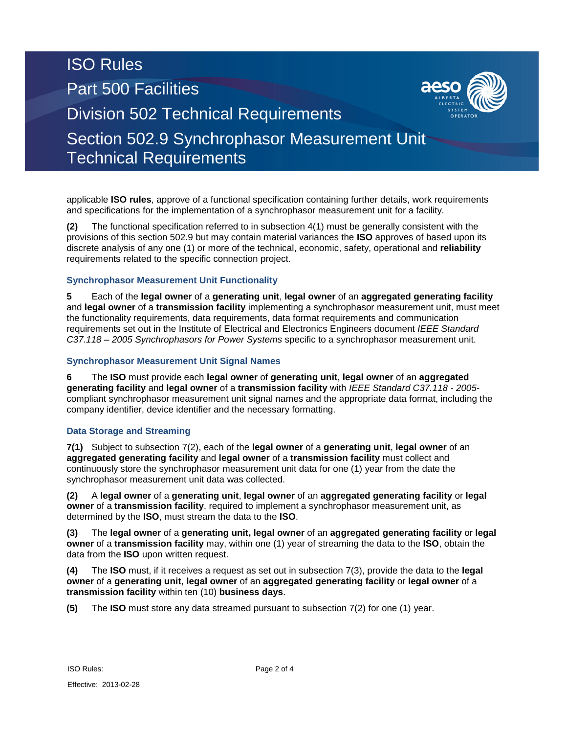# ISO Rules Part 500 Facilities Division 502 Technical Requirements Section 502.9 Synchrophasor Measurement Unit

Technical Requirements

applicable **ISO rules***,* approve of a functional specification containing further details, work requirements and specifications for the implementation of a synchrophasor measurement unit for a facility.

**(2)** The functional specification referred to in subsection 4(1) must be generally consistent with the provisions of this section 502.9 but may contain material variances the **ISO** approves of based upon its discrete analysis of any one (1) or more of the technical, economic, safety, operational and **reliability**  requirements related to the specific connection project.

## **Synchrophasor Measurement Unit Functionality**

**5** Each of the **legal owner** of a **generating unit**, **legal owner** of an **aggregated generating facility** and **legal owner** of a **transmission facility** implementing a synchrophasor measurement unit, must meet the functionality requirements, data requirements, data format requirements and communication requirements set out in the Institute of Electrical and Electronics Engineers document *IEEE Standard C37.118 – 2005 Synchrophasors for Power Systems* specific to a synchrophasor measurement unit.

### **Synchrophasor Measurement Unit Signal Names**

**6** The **ISO** must provide each **legal owner** of **generating unit**, **legal owner** of an **aggregated generating facility** and **legal owner** of a **transmission facility** with *IEEE Standard C37.118 - 2005* compliant synchrophasor measurement unit signal names and the appropriate data format, including the company identifier, device identifier and the necessary formatting.

## **Data Storage and Streaming**

**7(1)** Subject to subsection 7(2), each of the **legal owner** of a **generating unit**, **legal owner** of an **aggregated generating facility** and **legal owner** of a **transmission facility** must collect and continuously store the synchrophasor measurement unit data for one (1) year from the date the synchrophasor measurement unit data was collected.

**(2)** A **legal owner** of a **generating unit**, **legal owner** of an **aggregated generating facility** or **legal owner** of a **transmission facility**, required to implement a synchrophasor measurement unit, as determined by the **ISO**, must stream the data to the **ISO**.

**(3)** The **legal owner** of a **generating unit, legal owner** of an **aggregated generating facility** or **legal owner** of a **transmission facility** may, within one (1) year of streaming the data to the **ISO**, obtain the data from the **ISO** upon written request.

**(4)** The **ISO** must, if it receives a request as set out in subsection 7(3), provide the data to the **legal owner** of a **generating unit**, **legal owner** of an **aggregated generating facility** or **legal owner** of a **transmission facility** within ten (10) **business days**.

**(5)** The **ISO** must store any data streamed pursuant to subsection 7(2) for one (1) year.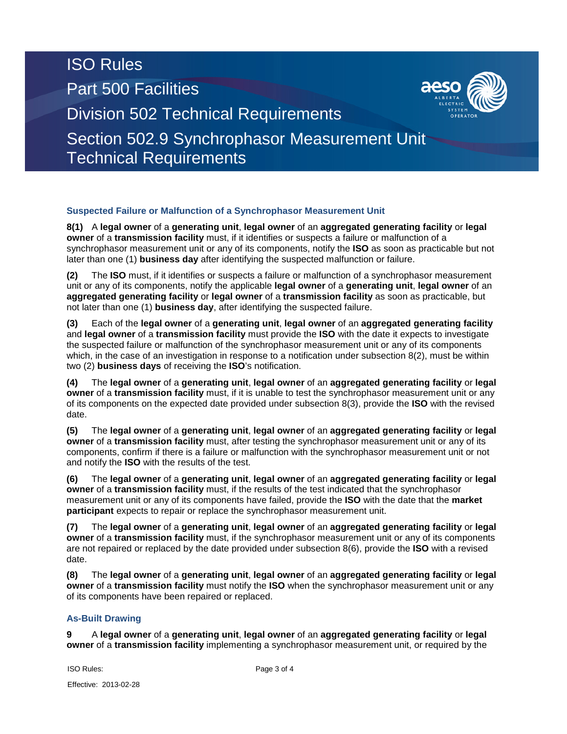# ISO Rules Part 500 Facilities Division 502 Technical Requirements Section 502.9 Synchrophasor Measurement Unit

Technical Requirements

### **Suspected Failure or Malfunction of a Synchrophasor Measurement Unit**

**8(1)** A **legal owner** of a **generating unit**, **legal owner** of an **aggregated generating facility** or **legal owner** of a **transmission facility** must, if it identifies or suspects a failure or malfunction of a synchrophasor measurement unit or any of its components, notify the **ISO** as soon as practicable but not later than one (1) **business day** after identifying the suspected malfunction or failure.

**(2)** The **ISO** must, if it identifies or suspects a failure or malfunction of a synchrophasor measurement unit or any of its components, notify the applicable **legal owner** of a **generating unit**, **legal owner** of an **aggregated generating facility** or **legal owner** of a **transmission facility** as soon as practicable, but not later than one (1) **business day**, after identifying the suspected failure.

**(3)** Each of the **legal owner** of a **generating unit**, **legal owner** of an **aggregated generating facility** and **legal owner** of a **transmission facility** must provide the **ISO** with the date it expects to investigate the suspected failure or malfunction of the synchrophasor measurement unit or any of its components which, in the case of an investigation in response to a notification under subsection 8(2), must be within two (2) **business days** of receiving the **ISO**'s notification.

**(4)** The **legal owner** of a **generating unit**, **legal owner** of an **aggregated generating facility** or **legal owner** of a **transmission facility** must, if it is unable to test the synchrophasor measurement unit or any of its components on the expected date provided under subsection 8(3), provide the **ISO** with the revised date.

**(5)** The **legal owner** of a **generating unit**, **legal owner** of an **aggregated generating facility** or **legal owner** of a **transmission facility** must, after testing the synchrophasor measurement unit or any of its components, confirm if there is a failure or malfunction with the synchrophasor measurement unit or not and notify the **ISO** with the results of the test.

**(6)** The **legal owner** of a **generating unit**, **legal owner** of an **aggregated generating facility** or **legal owner** of a **transmission facility** must, if the results of the test indicated that the synchrophasor measurement unit or any of its components have failed, provide the **ISO** with the date that the **market participant** expects to repair or replace the synchrophasor measurement unit.

**(7)** The **legal owner** of a **generating unit**, **legal owner** of an **aggregated generating facility** or **legal owner** of a **transmission facility** must, if the synchrophasor measurement unit or any of its components are not repaired or replaced by the date provided under subsection 8(6), provide the **ISO** with a revised date.

**(8)** The **legal owner** of a **generating unit**, **legal owner** of an **aggregated generating facility** or **legal owner** of a **transmission facility** must notify the **ISO** when the synchrophasor measurement unit or any of its components have been repaired or replaced.

### **As-Built Drawing**

**9** A **legal owner** of a **generating unit**, **legal owner** of an **aggregated generating facility** or **legal owner** of a **transmission facility** implementing a synchrophasor measurement unit, or required by the

ISO Rules: